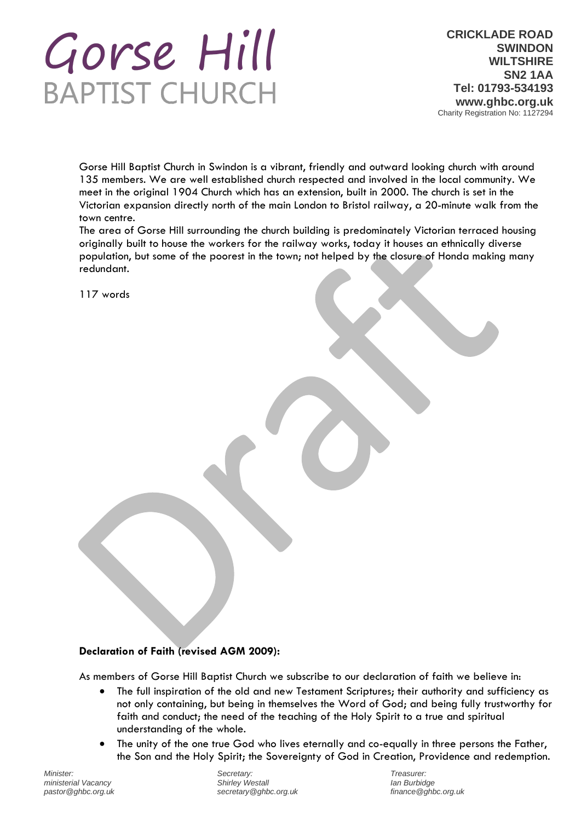# Gorse Hill **BAPTIST CHURCH**

**CRICKLADE ROAD SWINDON WILTSHIRE SN2 1AA Tel: 01793-534193 www.ghbc.org.uk** Charity Registration No: 1127294

Gorse Hill Baptist Church in Swindon is a vibrant, friendly and outward looking church with around 135 members. We are well established church respected and involved in the local community. We meet in the original 1904 Church which has an extension, built in 2000. The church is set in the Victorian expansion directly north of the main London to Bristol railway, a 20-minute walk from the town centre.

The area of Gorse Hill surrounding the church building is predominately Victorian terraced housing originally built to house the workers for the railway works, today it houses an ethnically diverse population, but some of the poorest in the town; not helped by the closure of Honda making many redundant.

117 words

# **Declaration of Faith (revised AGM 2009):**

As members of Gorse Hill Baptist Church we subscribe to our declaration of faith we believe in:

- The full inspiration of the old and new Testament Scriptures; their authority and sufficiency as not only containing, but being in themselves the Word of God; and being fully trustworthy for faith and conduct; the need of the teaching of the Holy Spirit to a true and spiritual understanding of the whole.
- The unity of the one true God who lives eternally and co-equally in three persons the Father, the Son and the Holy Spirit; the Sovereignty of God in Creation, Providence and redemption.

*Minister: ministerial Vacancy pastor@ghbc.org.uk* 

*Secretary: Shirley Westall secretary@ghbc.org.uk*

*Treasurer: Ian Burbidge finance@ghbc.org.uk*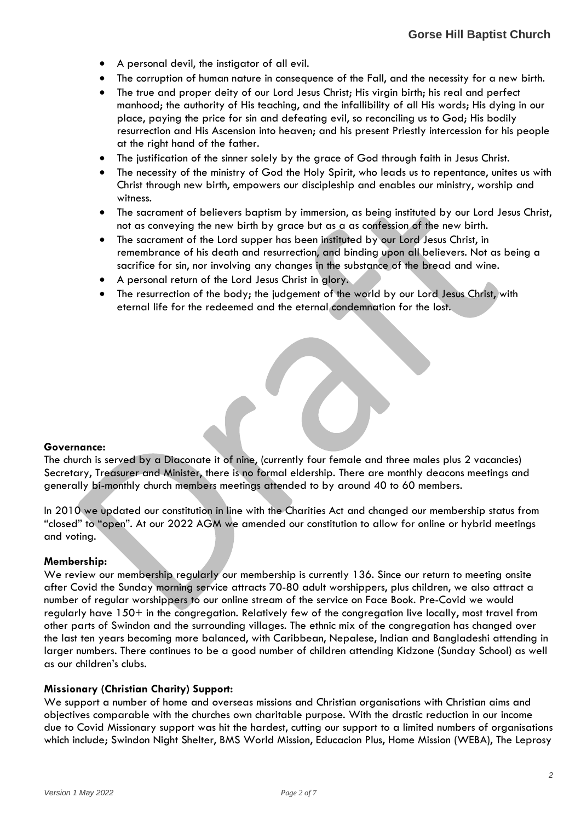- A personal devil, the instigator of all evil.
- The corruption of human nature in consequence of the Fall, and the necessity for a new birth.
- The true and proper deity of our Lord Jesus Christ; His virgin birth; his real and perfect manhood; the authority of His teaching, and the infallibility of all His words; His dying in our place, paying the price for sin and defeating evil, so reconciling us to God; His bodily resurrection and His Ascension into heaven; and his present Priestly intercession for his people at the right hand of the father.
- The justification of the sinner solely by the grace of God through faith in Jesus Christ.
- The necessity of the ministry of God the Holy Spirit, who leads us to repentance, unites us with Christ through new birth, empowers our discipleship and enables our ministry, worship and witness.
- The sacrament of believers baptism by immersion, as being instituted by our Lord Jesus Christ, not as conveying the new birth by grace but as a as confession of the new birth.
- The sacrament of the Lord supper has been instituted by our Lord Jesus Christ, in remembrance of his death and resurrection, and binding upon all believers. Not as being a sacrifice for sin, nor involving any changes in the substance of the bread and wine.
- A personal return of the Lord Jesus Christ in glory.
- The resurrection of the body; the judgement of the world by our Lord Jesus Christ, with eternal life for the redeemed and the eternal condemnation for the lost.

## **Governance:**

The church is served by a Diaconate it of nine, (currently four female and three males plus 2 vacancies) Secretary, Treasurer and Minister, there is no formal eldership. There are monthly deacons meetings and generally bi-monthly church members meetings attended to by around 40 to 60 members.

In 2010 we updated our constitution in line with the Charities Act and changed our membership status from "closed" to "open". At our 2022 AGM we amended our constitution to allow for online or hybrid meetings and voting.

#### **Membership:**

We review our membership regularly our membership is currently 136. Since our return to meeting onsite after Covid the Sunday morning service attracts 70-80 adult worshippers, plus children, we also attract a number of regular worshippers to our online stream of the service on Face Book. Pre-Covid we would regularly have 150+ in the congregation. Relatively few of the congregation live locally, most travel from other parts of Swindon and the surrounding villages. The ethnic mix of the congregation has changed over the last ten years becoming more balanced, with Caribbean, Nepalese, Indian and Bangladeshi attending in larger numbers. There continues to be a good number of children attending Kidzone (Sunday School) as well as our children's clubs.

## **Missionary (Christian Charity) Support:**

We support a number of home and overseas missions and Christian organisations with Christian aims and objectives comparable with the churches own charitable purpose. With the drastic reduction in our income due to Covid Missionary support was hit the hardest, cutting our support to a limited numbers of organisations which include; Swindon Night Shelter, BMS World Mission, Educacion Plus, Home Mission (WEBA), The Leprosy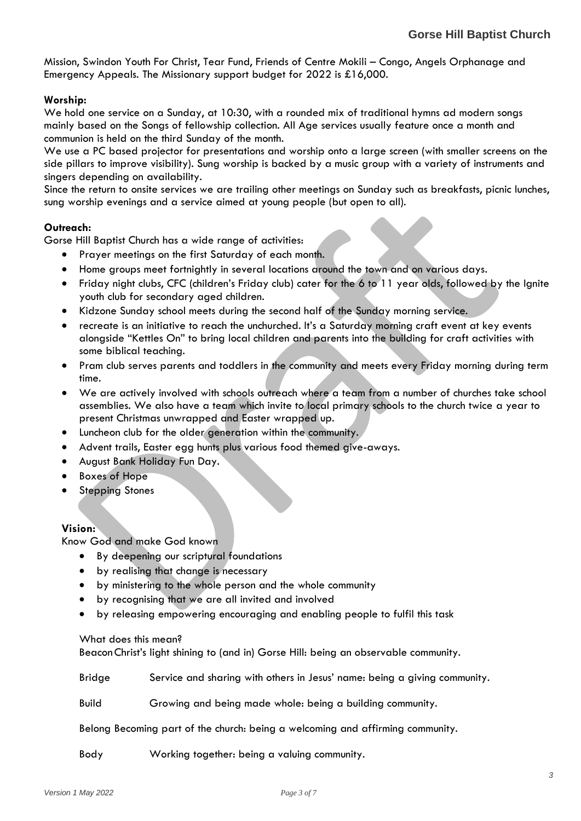Mission, Swindon Youth For Christ, Tear Fund, Friends of Centre Mokili – Congo, Angels Orphanage and Emergency Appeals. The Missionary support budget for 2022 is £16,000.

## **Worship:**

We hold one service on a Sunday, at 10:30, with a rounded mix of traditional hymns ad modern songs mainly based on the Songs of fellowship collection. All Age services usually feature once a month and communion is held on the third Sunday of the month.

We use a PC based projector for presentations and worship onto a large screen (with smaller screens on the side pillars to improve visibility). Sung worship is backed by a music group with a variety of instruments and singers depending on availability.

Since the return to onsite services we are trailing other meetings on Sunday such as breakfasts, picnic lunches, sung worship evenings and a service aimed at young people (but open to all).

## **Outreach:**

Gorse Hill Baptist Church has a wide range of activities:

- Prayer meetings on the first Saturday of each month.
- Home groups meet fortnightly in several locations around the town and on various days.
- Friday night clubs, CFC (children's Friday club) cater for the 6 to 11 year olds, followed by the Ignite youth club for secondary aged children.
- Kidzone Sunday school meets during the second half of the Sunday morning service.
- recreate is an initiative to reach the unchurched. It's a Saturday morning craft event at key events alongside "Kettles On" to bring local children and parents into the building for craft activities with some biblical teaching.
- Pram club serves parents and toddlers in the community and meets every Friday morning during term time.
- We are actively involved with schools outreach where a team from a number of churches take school assemblies. We also have a team which invite to local primary schools to the church twice a year to present Christmas unwrapped and Easter wrapped up.
- Luncheon club for the older generation within the community.
- Advent trails, Easter egg hunts plus various food themed give-aways.
- August Bank Holiday Fun Day.
- Boxes of Hope
- **Stepping Stones**

## **Vision:**

Know God and make God known

- By deepening our scriptural foundations
- by realising that change is necessary
- by ministering to the whole person and the whole community
- by recognising that we are all invited and involved
- by releasing empowering encouraging and enabling people to fulfil this task

What does this mean?

BeaconChrist's light shining to (and in) Gorse Hill: being an observable community.

Bridge Service and sharing with others in Jesus' name: being a giving community.

Build Growing and being made whole: being a building community.

Belong Becoming part of the church: being a welcoming and affirming community.

Body Working together: being a valuing community.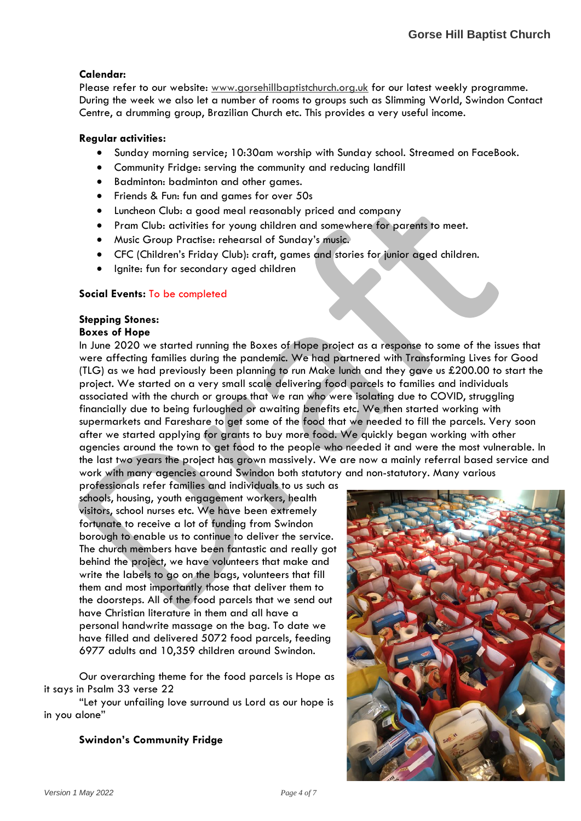# **Calendar:**

Please refer to our website: [www.gorsehillbaptistchurch.org.uk](http://www.gorsehillbaptistchurch.org.uk/) for our latest weekly programme. During the week we also let a number of rooms to groups such as Slimming World, Swindon Contact Centre, a drumming group, Brazilian Church etc. This provides a very useful income.

## **Regular activities:**

- Sunday morning service; 10:30am worship with Sunday school. Streamed on FaceBook.
- Community Fridge: serving the community and reducing landfill
- Badminton: badminton and other games.
- Friends & Fun: fun and games for over 50s
- Luncheon Club: a good meal reasonably priced and company
- Pram Club: activities for young children and somewhere for parents to meet.
- Music Group Practise: rehearsal of Sunday's music.
- CFC (Children's Friday Club): craft, games and stories for junior aged children.
- Ignite: fun for secondary aged children

# **Social Events:** To be completed

# **Stepping Stones:**

# **Boxes of Hope**

In June 2020 we started running the Boxes of Hope project as a response to some of the issues that were affecting families during the pandemic. We had partnered with Transforming Lives for Good (TLG) as we had previously been planning to run Make lunch and they gave us £200.00 to start the project. We started on a very small scale delivering food parcels to families and individuals associated with the church or groups that we ran who were isolating due to COVID, struggling financially due to being furloughed or awaiting benefits etc. We then started working with supermarkets and Fareshare to get some of the food that we needed to fill the parcels. Very soon after we started applying for grants to buy more food. We quickly began working with other agencies around the town to get food to the people who needed it and were the most vulnerable. In the last two years the project has grown massively. We are now a mainly referral based service and work with many agencies around Swindon both statutory and non-statutory. Many various

professionals refer families and individuals to us such as schools, housing, youth engagement workers, health visitors, school nurses etc. We have been extremely fortunate to receive a lot of funding from Swindon borough to enable us to continue to deliver the service. The church members have been fantastic and really got behind the project, we have volunteers that make and write the labels to go on the bags, volunteers that fill them and most importantly those that deliver them to the doorsteps. All of the food parcels that we send out have Christian literature in them and all have a personal handwrite massage on the bag. To date we have filled and delivered 5072 food parcels, feeding 6977 adults and 10,359 children around Swindon.

Our overarching theme for the food parcels is Hope as it says in Psalm 33 verse 22

"Let your unfailing love surround us Lord as our hope is in you alone"

# **Swindon's Community Fridge**

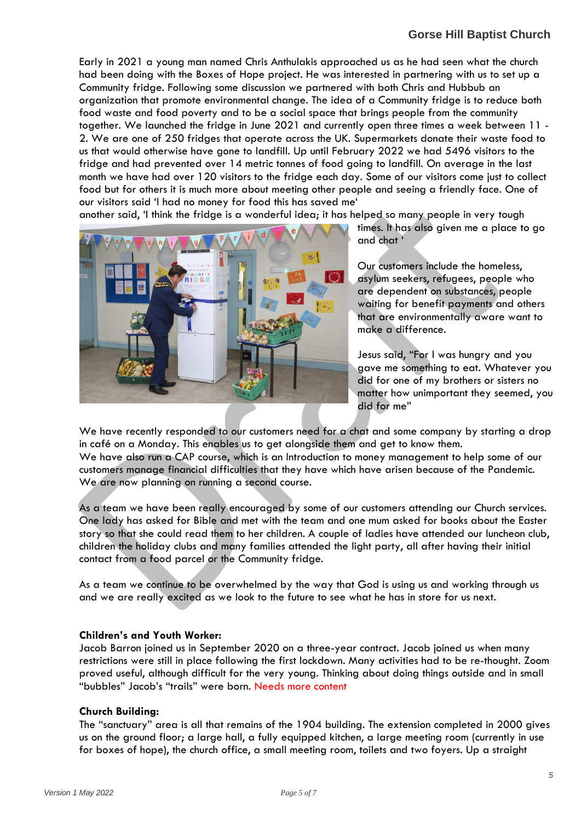Early in 2021 a young man named Chris Anthulakis approached us as he had seen what the church had been doing with the Boxes of Hope project. He was interested in partnering with us to set up a Community fridge. Following some discussion we partnered with both Chris and Hubbub an organization that promote environmental change. The idea of a Community fridge is to reduce both food waste and food poverty and to be a social space that brings people from the community together. We launched the fridge in June 2021 and currently open three times a week between 11 - 2. We are one of 250 fridges that operate across the UK. Supermarkets donate their waste food to us that would otherwise have gone to landfill. Up until February 2022 we had 5496 visitors to the fridge and had prevented over 14 metric tonnes of food going to landfill. On average in the last month we have had over 120 visitors to the fridge each day. Some of our visitors come just to collect food but for others it is much more about meeting other people and seeing a friendly face. One of our visitors said 'I had no money for food this has saved me'

another said, 'I think the fridge is a wonderful idea; it has helped so many people in very tough



times. It has also given me a place to go and chat '

Our customers include the homeless, asylum seekers, refugees, people who are dependent on substances, people waiting for benefit payments and others that are environmentally aware want to make a difference.

Jesus said, "For I was hungry and you gave me something to eat. Whatever you did for one of my brothers or sisters no matter how unimportant they seemed, you did for me"

We have recently responded to our customers need for a chat and some company by starting a drop in café on a Monday. This enables us to get alongside them and get to know them. We have also run a CAP course, which is an Introduction to money management to help some of our customers manage financial difficulties that they have which have arisen because of the Pandemic. We are now planning on running a second course.

As a team we have been really encouraged by some of our customers attending our Church services. One lady has asked for Bible and met with the team and one mum asked for books about the Easter story so that she could read them to her children. A couple of ladies have attended our luncheon club, children the holiday clubs and many families attended the light party, all after having their initial contact from a food parcel or the Community fridge.

As a team we continue to be overwhelmed by the way that God is using us and working through us and we are really excited as we look to the future to see what he has in store for us next.

## **Children's and Youth Worker:**

Jacob Barron joined us in September 2020 on a three-year contract. Jacob joined us when many restrictions were still in place following the first lockdown. Many activities had to be re-thought. Zoom proved useful, although difficult for the very young. Thinking about doing things outside and in small "bubbles" Jacob's "trails" were born. Needs more content

# **Church Building:**

The "sanctuary" area is all that remains of the 1904 building. The extension completed in 2000 gives us on the ground floor; a large hall, a fully equipped kitchen, a large meeting room (currently in use for boxes of hope), the church office, a small meeting room, toilets and two foyers. Up a straight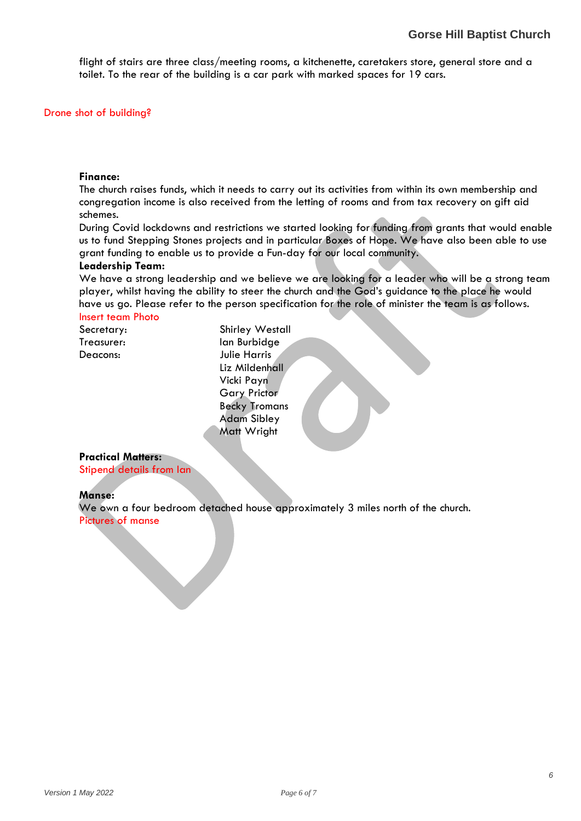flight of stairs are three class/meeting rooms, a kitchenette, caretakers store, general store and a toilet. To the rear of the building is a car park with marked spaces for 19 cars.

## Drone shot of building?

#### **Finance:**

The church raises funds, which it needs to carry out its activities from within its own membership and congregation income is also received from the letting of rooms and from tax recovery on gift aid schemes.

During Covid lockdowns and restrictions we started looking for funding from grants that would enable us to fund Stepping Stones projects and in particular Boxes of Hope. We have also been able to use grant funding to enable us to provide a Fun-day for our local community.

#### **Leadership Team:**

We have a strong leadership and we believe we are looking for a leader who will be a strong team player, whilst having the ability to steer the church and the God's guidance to the place he would have us go. Please refer to the person specification for the role of minister the team is as follows.

# Insert team Photo

Secretary: Shirley Westall Treasurer: Ian Burbidge Deacons: Julie Harris Liz Mildenhall Vicki Payn Gary Prictor Becky Tromans Adam Sibley Matt Wright

#### **Practical Matters:**

Stipend details from Ian

#### **Manse:**

We own a four bedroom detached house approximately 3 miles north of the church. Pictures of manse